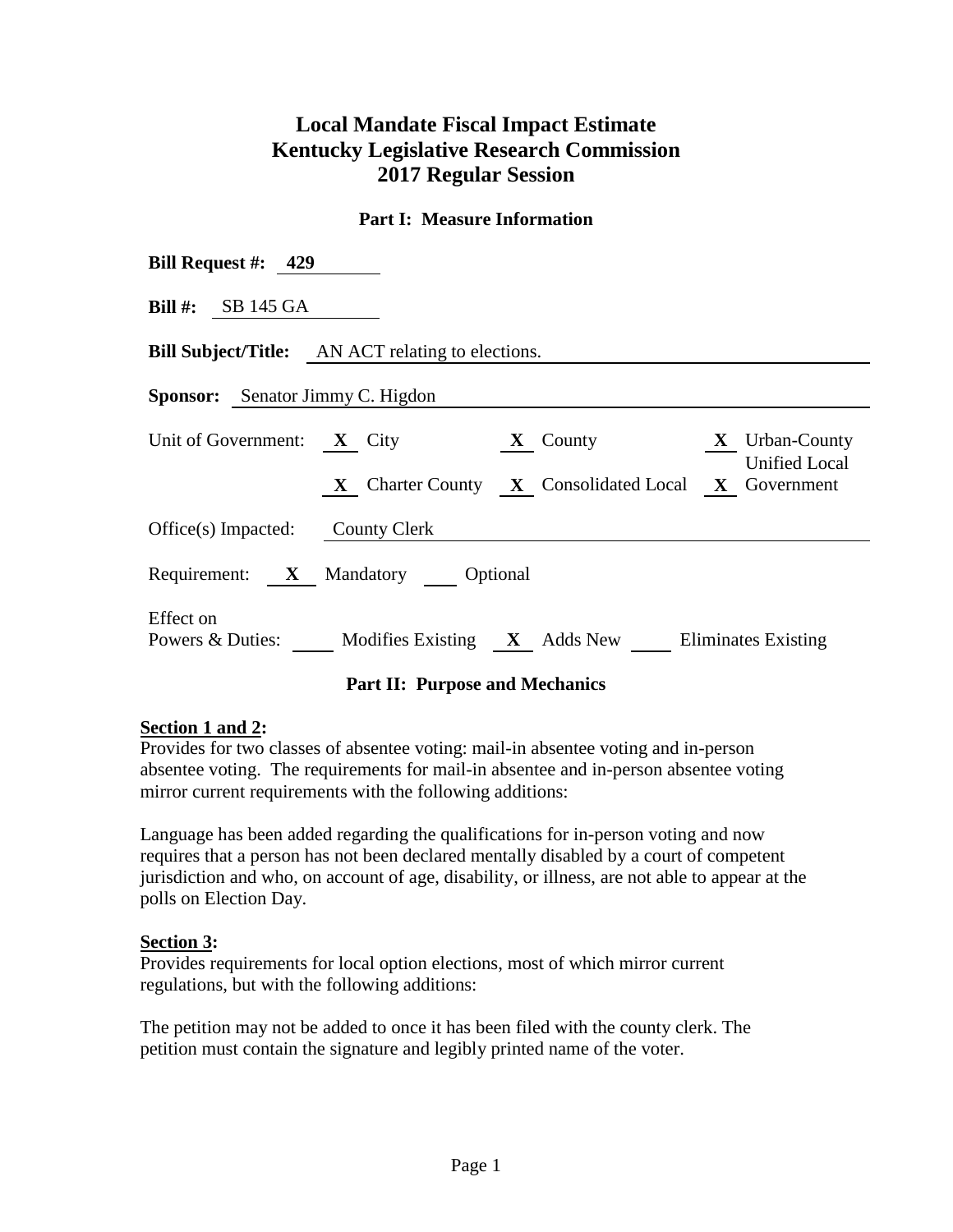# **Local Mandate Fiscal Impact Estimate Kentucky Legislative Research Commission 2017 Regular Session**

## **Part I: Measure Information**

| Bill Request #: $429$                                    |                                                                      |  |  |  |  |  |  |
|----------------------------------------------------------|----------------------------------------------------------------------|--|--|--|--|--|--|
| Bill $\#$ : SB 145 GA                                    |                                                                      |  |  |  |  |  |  |
| <b>Bill Subject/Title:</b> AN ACT relating to elections. |                                                                      |  |  |  |  |  |  |
| <b>Sponsor:</b> Senator Jimmy C. Higdon                  |                                                                      |  |  |  |  |  |  |
| Unit of Government: $X$ City                             | <b>X</b> Urban-County<br>$\mathbf{X}$ County<br><b>Unified Local</b> |  |  |  |  |  |  |
|                                                          | X Charter County X Consolidated Local X Government                   |  |  |  |  |  |  |
| Office(s) Impacted: County Clerk                         |                                                                      |  |  |  |  |  |  |
|                                                          | Requirement: X Mandatory Optional                                    |  |  |  |  |  |  |
| <b>Effect</b> on                                         | Powers & Duties: Modifies Existing X Adds New Eliminates Existing    |  |  |  |  |  |  |

## **Part II: Purpose and Mechanics**

## **Section 1 and 2:**

Provides for two classes of absentee voting: mail-in absentee voting and in-person absentee voting. The requirements for mail-in absentee and in-person absentee voting mirror current requirements with the following additions:

Language has been added regarding the qualifications for in-person voting and now requires that a person has not been declared mentally disabled by a court of competent jurisdiction and who, on account of age, disability, or illness, are not able to appear at the polls on Election Day.

#### **Section 3:**

Provides requirements for local option elections, most of which mirror current regulations, but with the following additions:

The petition may not be added to once it has been filed with the county clerk. The petition must contain the signature and legibly printed name of the voter.